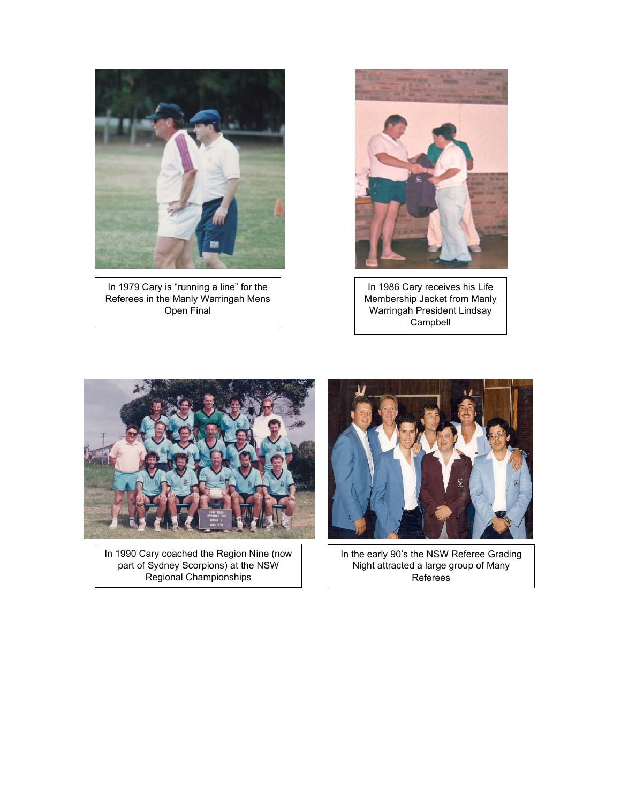

In 1979 Cary is "running a line" for the Referees in the Manly Warringah Mens Open Final



In 1986 Cary receives his Life Membership Jacket from Manly Warringah President Lindsay Campbell



In 1990 Cary coached the Region Nine (now part of Sydney Scorpions) at the NSW Regional Championships



In the early 90's the NSW Referee Grading Night attracted a large group of Many Referees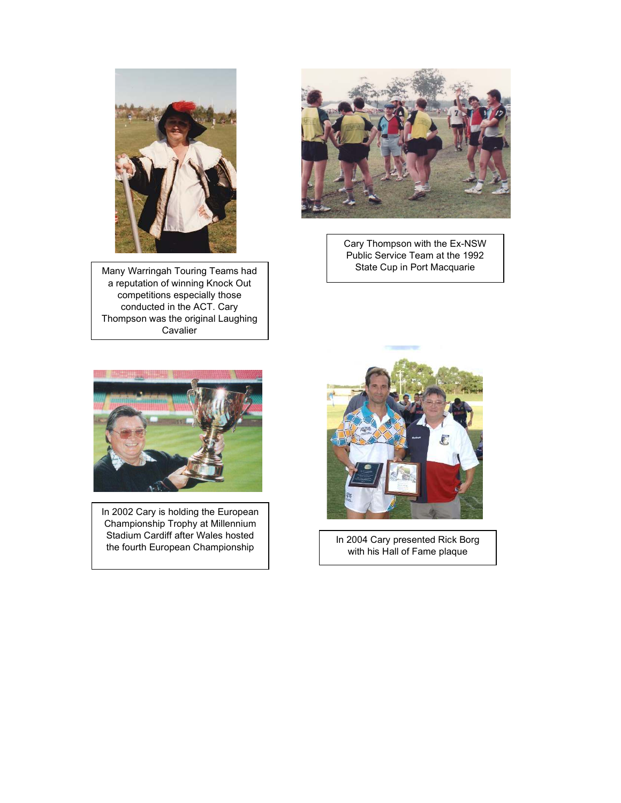

Many Warringah Touring Teams had a reputation of winning Knock Out competitions especially those conducted in the ACT. Cary Thompson was the original Laughing **Cavalier** 



Cary Thompson with the Ex-NSW Public Service Team at the 1992 State Cup in Port Macquarie



In 2002 Cary is holding the European Championship Trophy at Millennium Stadium Cardiff after Wales hosted the fourth European Championship



In 2004 Cary presented Rick Borg with his Hall of Fame plaque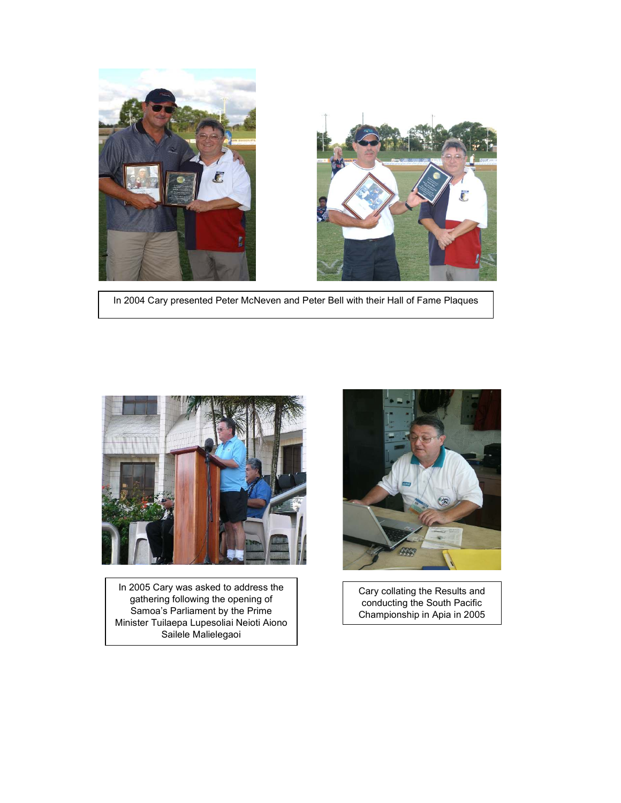

In 2004 Cary presented Peter McNeven and Peter Bell with their Hall of Fame Plaques



In 2005 Cary was asked to address the gathering following the opening of Samoa's Parliament by the Prime Minister Tuilaepa Lupesoliai Neioti Aiono Sailele Malielegaoi



Cary collating the Results and conducting the South Pacific Championship in Apia in 2005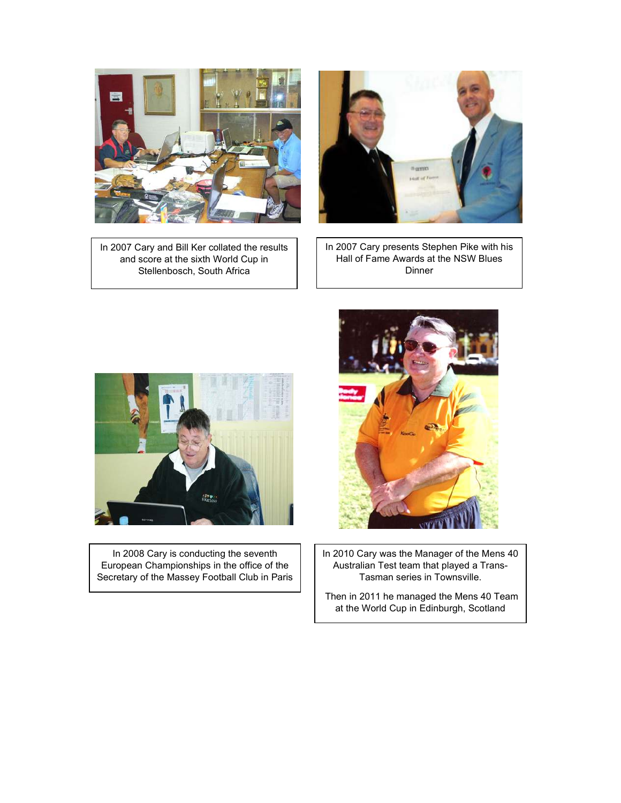

In 2007 Cary and Bill Ker collated the results and score at the sixth World Cup in Stellenbosch, South Africa



In 2007 Cary presents Stephen Pike with his Hall of Fame Awards at the NSW Blues Dinner



In 2008 Cary is conducting the seventh European Championships in the office of the Secretary of the Massey Football Club in Paris



In 2010 Cary was the Manager of the Mens 40 Australian Test team that played a Trans-Tasman series in Townsville.

 Then in 2011 he managed the Mens 40 Team at the World Cup in Edinburgh, Scotland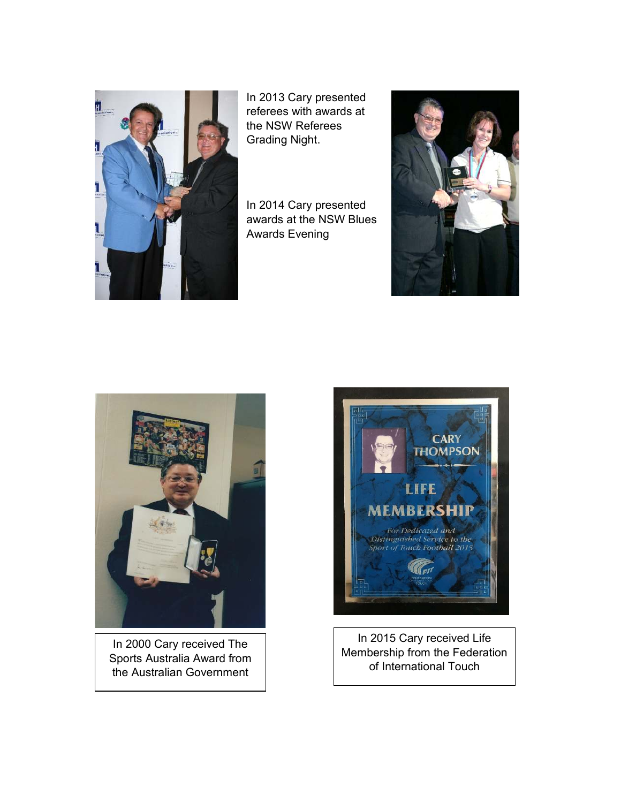

In 2013 Cary presented referees with awards at the NSW Referees Grading Night.

In 2014 Cary presented awards at the NSW Blues Awards Evening





In 2000 Cary received The Sports Australia Award from the Australian Government



In 2015 Cary received Life Membership from the Federation of International Touch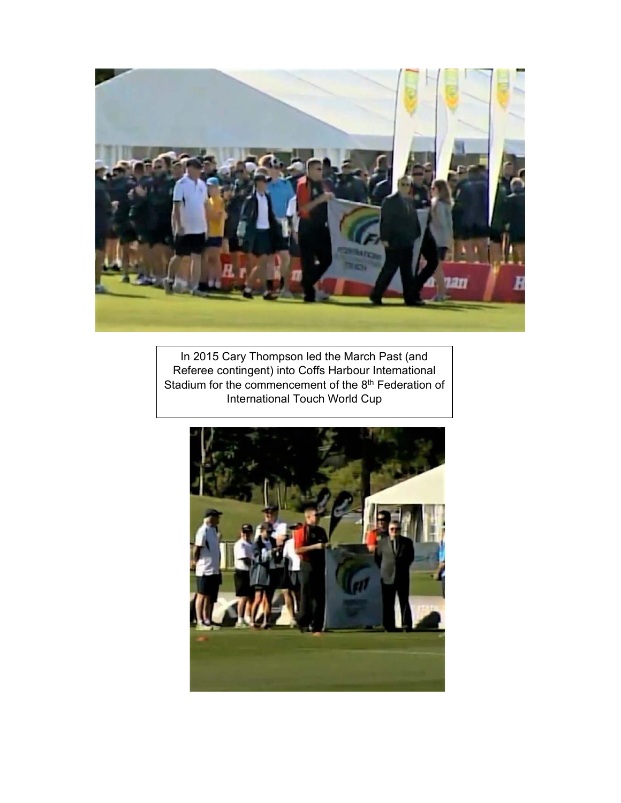

In 2015 Cary Thompson led the March Past (and Referee contingent) into Coffs Harbour International Stadium for the commencement of the 8<sup>th</sup> Federation of International Touch World Cup